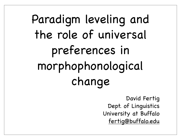# Paradigm leveling and the role of universal preferences in morphophonological change

David Fertig Dept. of Linguistics University at Buffalo fertig@buffalo.edu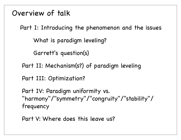Overview of talk

Part I: Introducing the phenomenon and the issues

What is paradigm leveling?

Garrett's question(s)

Part II: Mechanism(s?) of paradigm leveling

Part III: Optimization?

Part IV: Paradigm uniformity vs. "harmony"/"symmetry"/"congruity"/"stability"/ frequency

Part V: Where does this leave us?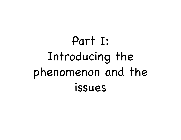# Part I: Introducing the phenomenon and the issues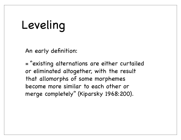#### Leveling

An early definition:

= "existing alternations are either curtailed or eliminated altogether, with the result that allomorphs of some morphemes become more similar to each other or merge completely" (Kiparsky 1968:200).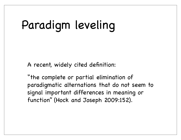## Paradigm leveling

A recent, widely cited definition:

"the complete or partial elimination of paradigmatic alternations that do not seem to signal important differences in meaning or function" (Hock and Joseph 2009:152).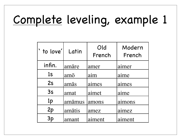## Complete leveling, example 1

| ' to love'     | Latin  | Old<br>French | Modern<br>French |
|----------------|--------|---------------|------------------|
| infin.         | amāre  | amer          | aimer            |
| 1 <sub>S</sub> | amō    | aim           | aime             |
| 2s             | amās   | aimes         | aimes            |
| 3s             | amat   | aimet         | aime             |
| 1 <sub>p</sub> | amāmus | amons         | aimons           |
| 2p             | amātis | amez          | aimez            |
| 3p             | amant  | aiment        | aiment           |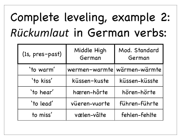## Complete leveling, example 2: *Rückumlaut* in German verbs:

| (1s, pres-past) | Middle High<br>German       | Mod. Standard<br>German |
|-----------------|-----------------------------|-------------------------|
| 'to warm'       | wermen-warmte wärmen-wärmte |                         |
| 'to kiss'       | küssen-kuste                | küssen-küsste           |
| 'to hear'       | hæren-hôrte<br>hören-hörte  |                         |
| `to lead'       | vüeren-vuorte               | führen-führte           |
| to miss'        | vælen-vâlte                 | fehlen-fehlte           |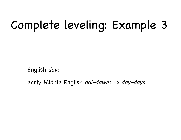## Complete leveling: Example 3

English *day*:

early Middle English *dai–dawes* -> *day–days*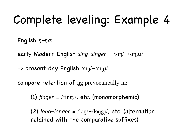## Complete leveling: Example 4

English *ŋ–ŋg*:

early Modern English *sing–singer* =  $/\text{sin}/\text{-}/\text{sin}$ g*x*/

-> present-day English /sin/-/sinu/

compare retention of ŋg prevocalically in:

(1) *finger* = /fɪŋgɹ̩/, etc. (monomorphemic)

(2)  $long-longer = /l<sub>op</sub>/-/l<sub>ong</sub>/, etc. (alternation)$ retained with the comparative suffixes)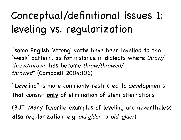### Conceptual/definitional issues 1: leveling vs. regularization

"some English 'strong' verbs have been levelled to the 'weak' pattern, as for instance in dialects where *throw/ threw/thrown* has become *throw/throwed/ throwed*" (Campbell 2004:106)

"Leveling" is more commonly restricted to developments that consist **only** of elimination of stem alternations

(BUT: Many favorite examples of leveling are nevertheless **also** regularization, e.g. *old-elder* -> *old-older*)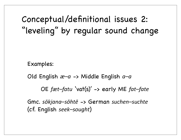Conceptual/definitional issues 2: "leveling" by regular sound change

Examples:

Old English *æ–a* -> Middle English *a–a*

OE *fæt–fatu* 'vat(s)' -> early ME *fat–fate<*

Gmc. *sōkjana–sōhtē* -> German *suchen–suchte* (cf. English *seek–sought*)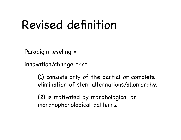#### Revised definition

Paradigm leveling =

innovation/change that

(1) consists only of the partial or complete elimination of stem alternations/allomorphy;

(2) is motivated by morphological or morphophonological patterns.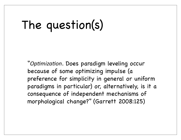## The question(s)

"Optimization. Does paradigm leveling occur because of some optimizing impulse (a preference for simplicity in general or uniform paradigms in particular) or, alternatively, is it a consequence of independent mechanisms of morphological change?" (Garrett 2008:125)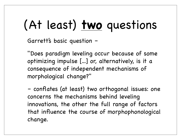# (At least) **two** questions

Garrett's basic question –

"Does paradigm leveling occur because of some optimizing impulse [...] or, alternatively, is it a consequence of independent mechanisms of morphological change?"

– conflates (at least) two orthogonal issues: one concerns the mechanisms behind leveling innovations, the other the full range of factors that influence the course of morphophonological change.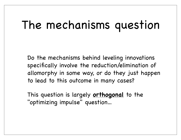#### The mechanisms question

Do the mechanisms behind leveling innovations specifically involve the reduction/elimination of allomorphy in some way, or do they just happen to lead to this outcome in many cases?

This question is largely **orthogonal** to the "optimizing impulse" question...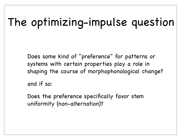## The optimizing-impulse question

Does some kind of "preference" for patterns or systems with certain properties play a role in shaping the course of morphophonological change?

and if so:

Does the preference specifically favor stem uniformity (non-alternation)?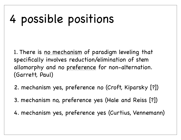### 4 possible positions

1. There is no mechanism of paradigm leveling that specifically involves reduction/elimination of stem allomorphy and no preference for non-alternation. (Garrett, Paul)

- 2. mechanism yes, preference no (Croft, Kiparsky [?])
- 3. mechanism no, preference yes (Hale and Reiss [?])
- 4. mechanism yes, preference yes (Curtius, Vennemann)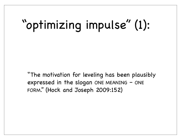# "optimizing impulse" (1):

"The motivation for leveling has been plausibly expressed in the slogan ONE MEANING – ONE FORM." (Hock and Joseph 2009:152)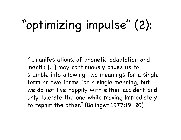# "optimizing impulse" (2):

"...manifestations. of phonetic adaptation and inertia [...] may continuously cause us to stumble into allowing two meanings for a single form or two forms for a single meaning, but we do not live happily with either accident and only tolerate the one while moving immediately to repair the other." (Bolinger 1977:19–20)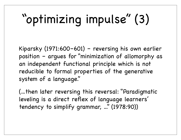# "optimizing impulse" (3)

Kiparsky (1971:600–601) – reversing his own earlier position – argues for "minimization of allomorphy as an independent functional principle which is not reducible to formal properties of the generative system of a language."

(...then later reversing this reversal: "Paradigmatic leveling is a direct reflex of language learners' tendency to simplify grammar, ..." (1978:90))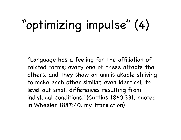# "optimizing impulse" (4)

"Language has a feeling for the affiliation of related forms; every one of these affects the others, and they show an unmistakable striving to make each other similar, even identical, to level out small differences resulting from individual conditions." (Curtius 1860:331, quoted in Wheeler 1887:40, my translation)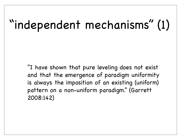## "independent mechanisms" (1)

"I have shown that pure leveling does not exist and that the emergence of paradigm uniformity is always the imposition of an existing (uniform) pattern on a non-uniform paradigm." (Garrett 2008:142)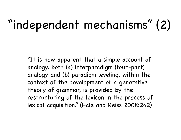## "independent mechanisms" (2)

"It is now apparent that a simple account of analogy, both (a) interparadigm (four-part) analogy and (b) paradigm leveling, within the context of the development of a generative theory of grammar, is provided by the restructuring of the lexicon in the process of lexical acquisition." (Hale and Reiss 2008:242)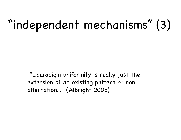## "independent mechanisms" (3)

 "...paradigm uniformity is really just the extension of an existing pattern of nonalternation..." (Albright 2005)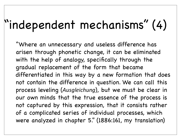## "independent mechanisms" (4)

"Where an unnecessary and useless difference has arisen through phonetic change, it can be eliminated with the help of analogy, specifically through the gradual replacement of the form that became differentiated in this way by a new formation that does not contain the difference in question. We can call this process leveling (*Ausgleichung*), but we must be clear in our own minds that the true essence of the process is not captured by this expression, that it consists rather of a complicated series of individual processes, which were analyzed in chapter 5." (1886:161, my translation)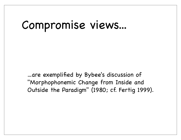#### Compromise views...

...are exemplified by Bybee's discussion of "Morphophonemic Change from Inside and Outside the Paradigm" (1980; cf. Fertig 1999).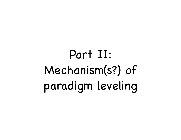# Part II: Mechanism(s?) of paradigm leveling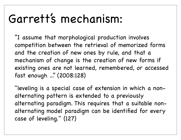#### Garrett's mechanism:

"I assume that morphological production involves competition between the retrieval of memorized forms and the creation of new ones by rule, and that a mechanism of change is the creation of new forms if existing ones are not learned, remembered, or accessed fast enough ..." (2008:128)

"leveling is a special case of extension in which a nonalternating pattern is extended to a previously alternating paradigm. This requires that a suitable nonalternating model paradigm can be identified for every case of leveling." (127)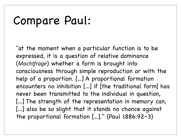#### Compare Paul:

"at the moment when a particular function is to be expressed, it is a question of relative dominance (*Machtfrage*) whether a form is brought into consciousness through simple reproduction or with the help of a proportion. [...] A proportional formation encounters no inhibition [...] if [the traditional form] has never been transmitted to the individual in question, [...] The strength of the representation in memory can, [...] also be so slight that it stands no chance against the proportional formation [...]." (Paul 1886:92–3)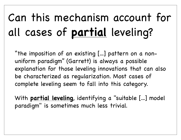## Can this mechanism account for all cases of **partial** leveling?

"the imposition of an existing [...] pattern on a nonuniform paradigm" (Garrett) is always a possible explanation for those leveling innovations that can also be characterized as regularization. Most cases of complete leveling seem to fall into this category.

With **partial leveling**, identifying a "suitable [...] model paradigm" is sometimes much less trivial.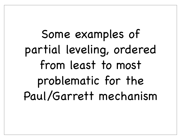Some examples of partial leveling, ordered from least to most problematic for the Paul/Garrett mechanism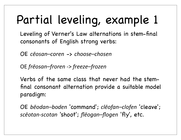# Partial leveling, example 1

Leveling of Verner's Law alternations in stem-final consonants of English strong verbs:

OE *cēosan–coren* -> *choose–chosen*

OE *frēosan–froren* -> *freeze–frozen* 

Verbs of the same class that never had the stemfinal consonant alternation provide a suitable model paradigm:

OE *bēodan–boden* 'command'; *clēofan–clofen* 'cleave'; *scēotan9scotan* 'shoot'; *flēogan–flogen* 'fly', etc.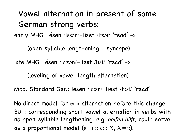Vowel alternation in present of some German strong verbs: early MHG: lësen /lɛsən/–liset /lɪsət/ 'read' -> (open-syllable lengthening + syncope) late MHG: lësen /leːsən/–liest /lɪst/ 'read' -> (leveling of vowel-length alternation) Mod. Standard Ger.: lesen /leːzn/–liest /liːst/ 'read' No direct model for eː-iː alternation before this change. BUT: corresponding short vowel alternation in verbs with no open-syllable lengthening, e.g. *helfen-hilft*, could serve as a proportional model ( $\varepsilon$  :  $\pi$  :  $e$  :  $X, X = i$ ;).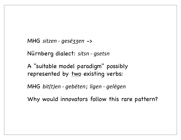MHG sitzen - gesëʒʒen ->

Nürnberg dialect: sitsn - gsetsn

A "suitable model paradigm" possibly represented by <u>two</u> existing verbs:

MHG bit(t)en - gebëten; ligen - gelëgen

Why would innovators follow this rare pattern?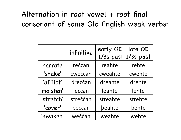#### Alternation in root vowel + root-final consonant of some Old English weak verbs:

|           | infinitive | early OE<br>1/3s past | late OE<br>1/3s past |
|-----------|------------|-----------------------|----------------------|
| 'narrate' | reccan     | reahte                | rehte                |
| 'shake'   | cweccan    | cweahte               | cwehte               |
| 'afflict' | dreccan    | dreahte               | drehte               |
| moisten'  | leccan     | leahte                | lehte                |
| 'stretch' | streccan   | streahte              | strehte              |
| 'cover'   | beccan     | beahte                | behte                |
| 'awaken'  | weccan     | weahte                | wehte                |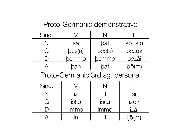#### Proto-Germanic demonstrative

| Sing.                           | M              | N           |                |  |
|---------------------------------|----------------|-------------|----------------|--|
| N                               | sa             | bat         | sō, sjō        |  |
| G                               | bes(a)         | bes(a)      | bezōz          |  |
|                                 | pemmo          | pemmo       | bezāi          |  |
| $\overline{\mathcal{A}}$        | ban            | bat         | $b\bar{o}(m)$  |  |
| Proto-Germanic 3rd sg. personal |                |             |                |  |
| Sing.                           | M              | N           |                |  |
| N                               | $\overline{Z}$ | it          | Sİ             |  |
| G                               | is(a)          | is(a)       | izōz           |  |
|                                 | immo           | <b>Immo</b> | izāi           |  |
|                                 |                | it          | $ii\bar{o}(m)$ |  |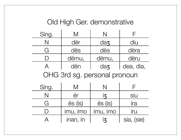#### Old High Ger. demonstrative

| Sing.                | Vl    |        |           |
|----------------------|-------|--------|-----------|
|                      | dër   | $da$ z | diu       |
| $\overrightarrow{ }$ | dës   | dës    | dëra      |
|                      | dëmu, | dëmu,  | dëru      |
|                      | dën   | $da$ z | dea, dia, |
|                      |       |        |           |

OHG 3rd sg. personal pronoun

| Sing. |          |          |            |
|-------|----------|----------|------------|
|       | ër       |          | SIU        |
|       | ës (is)  | ës (is)  | <b>Ira</b> |
|       | imu, imo | imu, imo | Iru        |
|       | inan, in |          | sia, (sie) |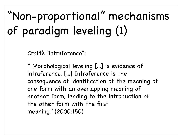## "Non-proportional" mechanisms of paradigm leveling (1)

Croft's "intraference":

" Morphological leveling [...] is evidence of intraference. [...] Intraference is the consequence of identification of the meaning of one form with an overlapping meaning of another form, leading to the introduction of the other form with the first meaning." (2000:150)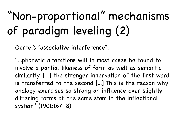## "Non-proportional" mechanisms of paradigm leveling (2)

Oertel's "associative interference":

"...phonetic alterations will in most cases be found to involve a partial likeness of form as well as semantic similarity. [...] the stronger innervation of the first word is transferred to the second [...] This is the reason why analogy exercises so strong an influence over slightly differing forms of the same stem in the inflectional system" (1901:167–8)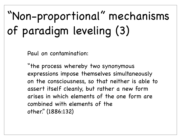## "Non-proportional" mechanisms of paradigm leveling (3)

Paul on contamination:

"the process whereby two synonymous expressions impose themselves simultaneously on the consciousness, so that neither is able to assert itself cleanly, but rather a new form arises in which elements of the one form are combined with elements of the other." (1886:132)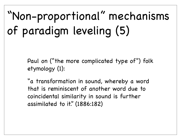### "Non-proportional" mechanisms of paradigm leveling (5)

Paul on ("the more complicated type of") folk etymology (1):

"a transformation in sound, whereby a word that is reminiscent of another word due to coincidental similarity in sound is further assimilated to it." (1886:182)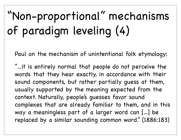### "Non-proportional" mechanisms of paradigm leveling (4)

Paul on the mechanism of unintentional folk etymology:

"...it is entirely normal that people do not perceive the words that they hear exactly, in accordance with their sound components, but rather partially guess at them, usually supported by the meaning expected from the context. Naturally, people's guesses favor sound complexes that are already familiar to them, and in this way a meaningless part of a larger word can [...] be replaced by a similar sounding common word." (1886:183)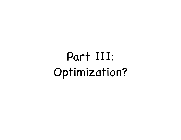### Part III: Optimization?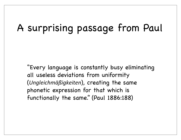#### A surprising passage from Paul

"Every language is constantly busy eliminating all useless deviations from uniformity (*Ungleichmäßigkeiten*), creating the same phonetic expression for that which is functionally the same." (Paul 1886:188)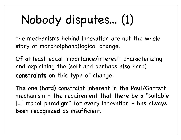## Nobody disputes... (1)

the mechanisms behind innovation are not the whole story of morpho(phono)logical change.

Of at least equal importance/interest: characterizing and explaining the (soft and perhaps also hard) **constraints** on this type of change.

The one (hard) constraint inherent in the Paul/Garrett mechanism – the requirement that there be a "suitable [...] model paradigm" for every innovation – has always been recognized as insufficient.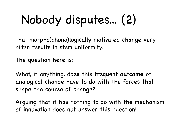# Nobody disputes... (2)

that morpho(phono)logically motivated change very often results in stem uniformity.

The question here is:

What, if anything, does this frequent **outcome** of analogical change have to do with the forces that shape the course of change?

Arguing that it has nothing to do with the mechanism of innovation does not answer this question!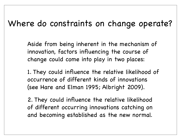#### Where do constraints on change operate?

Aside from being inherent in the mechanism of innovation, factors influencing the course of change could come into play in two places:

1. They could influence the relative likelihood of occurrence of different kinds of innovations (see Hare and Elman 1995; Albright 2009).

2. They could influence the relative likelihood of different occurring innovations catching on and becoming established as the new normal.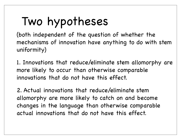### Two hypotheses

(both independent of the question of whether the mechanisms of innovation have anything to do with stem uniformity)

1. Innovations that reduce/eliminate stem allomorphy are more likely to occur than otherwise comparable innovations that do not have this effect.

2. Actual innovations that reduce/eliminate stem allomorphy are more likely to catch on and become changes in the language than otherwise comparable actual innovations that do not have this effect.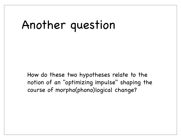#### Another question

How do these two hypotheses relate to the notion of an "optimizing impulse" shaping the course of morpho(phono)logical change?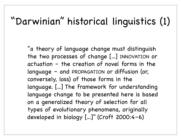#### "Darwinian" historical linguistics (1)

"a theory of language change must distinguish the two processes of change [...] INNOVATION or actuation – the creation of novel forms in the language – and PROPAGATION or diffusion (or, conversely, loss) of those forms in the language. [...] The framework for understanding language change to be presented here is based on a generalized theory of selection for all types of evolutionary phenomena, originally developed in biology [...]" (Croft 2000:4–6)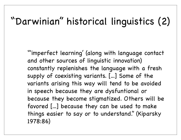#### "Darwinian" historical linguistics (2)

"'imperfect learning' (along with language contact and other sources of linguistic innovation) constantly replenishes the language with a fresh supply of coexisting variants. [...] Some of the variants arising this way will tend to be avoided in speech because they are dysfuntional or because they become stigmatized. Others will be favored [...] because they can be used to make things easier to say or to understand." (Kiparsky 1978:86)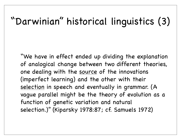#### "Darwinian" historical linguistics (3)

"We have in effect ended up dividing the explanation of analogical change between two different theories, one dealing with the source of the innovations (imperfect learning) and the other with their selection in speech and eventually in grammar. (A vague parallel might be the theory of evolution as a function of genetic variation and natural selection.)" (Kiparsky 1978:87; cf. Samuels 1972)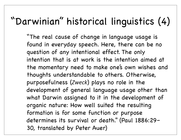#### "Darwinian" historical linguistics (4)

"The real cause of change in language usage is found in everyday speech. Here, there can be no question of any intentional effect. The only intention that is at work is the intention aimed at the momentary need to make one's own wishes and thoughts understandable to others. Otherwise, purposefulness (*Zweck*) plays no role in the development of general language usage other than what Darwin assigned to it in the development of organic nature: How well suited the resulting formation is for some function or purpose determines its survival or death." (Paul 1886:29– 30, translated by Peter Auer)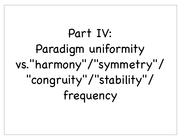# Part IV: Paradigm uniformity vs."harmony"/"symmetry"/ "congruity"/"stability"/ frequency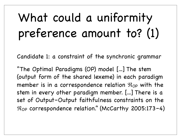## What could a uniformity preference amount to? (1)

Candidate 1: a constraint of the synchronic grammar

"The Optimal Paradigms (OP) model [...] The stem (output form of the shared lexeme) in each paradigm member is in a correspondence relation  $\mathfrak{R}_{OP}$  with the stem in every other paradigm member. [...] There is a set of Output–Output faithfulness constraints on the  $\mathcal{R}_{OP}$  correspondence relation." (McCarthy 2005:173-4)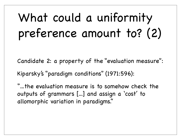## What could a uniformity preference amount to? (2)

Candidate 2: a property of the "evaluation measure":

Kiparsky's "paradigm conditions" (1971:596):

"...the evaluation measure is to somehow check the outputs of grammars [...] and assign a 'cost' to allomorphic variation in paradigms."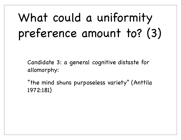## What could a uniformity preference amount to? (3)

Candidate 3: a general cognitive distaste for allomorphy:

"the mind shuns purposeless variety" (Anttila 1972:181)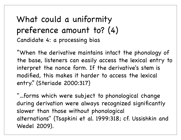#### What could a uniformity preference amount to? (4) Candidate 4: a processing bias

"When the derivative maintains intact the phonology of the base, listeners can easily access the lexical entry to interpret the nonce form. If the derivative's stem is modified, this makes it harder to access the lexical entry." (Steriade 2000:317)

"...forms which were subject to phonological change during derivation were always recognized significantly slower than those without phonological alternations" (Tsapkini et al. 1999:318; cf. Ussishkin and Wedel 2009).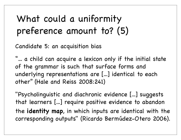#### What could a uniformity preference amount to? (5)

Candidate 5: an acquisition bias

"... a child can acquire a lexicon only if the initial state of the grammar is such that surface forms and underlying representations are [...] identical to each other" (Hale and Reiss 2008:241)

"Psycholinguistic and diachronic evidence [...] suggests that learners [...] require positive evidence to abandon the **identity map**, in which inputs are identical with the corresponding outputs" (Ricardo Bermúdez-Otero 2006).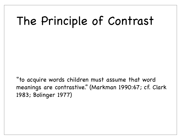#### The Principle of Contrast

"to acquire words children must assume that word meanings are contrastive." (Markman 1990:67; cf. Clark 1983; Bolinger 1977)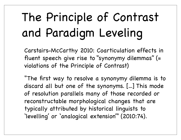# The Principle of Contrast and Paradigm Leveling

Carstairs-McCarthy 2010: Coarticulation effects in fluent speech give rise to "synonymy dilemmas" (= violations of the Principle of Contrast)

"The first way to resolve a synonymy dilemma is to discard all but one of the synonyms. [...] This mode of resolution parallels many of those recorded or reconstructable morphological changes that are typically attributed by historical linguists to 'levelling' or 'analogical extension'" (2010:74).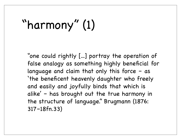# "harmony" (1)

"one could rightly [...] portray the operation of false analogy as something highly beneficial for language and claim that only this force – as 'the beneficent heavenly daughter who freely and easily and joyfully binds that which is alike' – has brought out the true harmony in the structure of language." Brugmann (1876: 317–18fn.33)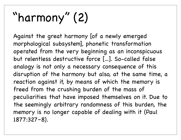# "harmony" (2)

Against the great harmony [of a newly emerged morphological subsystem], phonetic transformation operated from the very beginning as an inconspicuous but relentless destructive force [...]. So-called false analogy is not only a necessary consequence of this disruption of the harmony but also, at the same time, a reaction against it, by means of which the memory is freed from the crushing burden of the mass of peculiarities that have imposed themselves on it. Due to the seemingly arbitrary randomness of this burden, the memory is no longer capable of dealing with it (Paul 1877:327–8).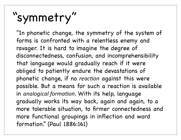# "symmetry"

"In phonetic change, the symmetry of the system of forms is confronted with a relentless enemy and ravager. It is hard to imagine the degree of disconnectedness, confusion, and incomprehensibility that language would gradually reach if it were obliged to patiently endure the devastations of phonetic change, if no *reaction* against this were possible. But a means for such a reaction is available in *analogical formation*. With its help, language gradually works its way back, again and again, to a more tolerable situation, to firmer connectedness and more functional groupings in inflection and word formation." (Paul 1886:161)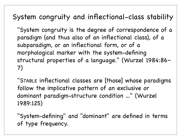#### System congruity and inflectional-class stability

"System congruity is the degree of correspondence of a paradigm (and thus also of an inflectional class), of a subparadigm, or an inflectional form, or of a morphological marker with the system-defining structural properties of a language." (Wurzel 1984:86– 7)

"STABLE inflectional classes are [those] whose paradigms follow the implicative pattern of an exclusive or dominant paradigm-structure condition ..." (Wurzel 1989:125)

"System-defining" and "dominant" are defined in terms of type frequency.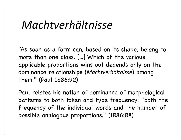#### *Machtverhältnisse*

"As soon as a form can, based on its shape, belong to more than one class, [...] Which of the various applicable proportions wins out depends only on the dominance relationships (*Machtverhältnisse*) among them." (Paul 1886:92)

Paul relates his notion of dominance of morphological patterns to both token and type frequency: "both the frequency of the individual words and the number of possible analogous proportions." (1886:88)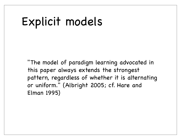#### Explicit models

"The model of paradigm learning advocated in this paper always extends the strongest pattern, regardless of whether it is alternating or uniform." (Albright 2005; cf. Hare and Elman 1995)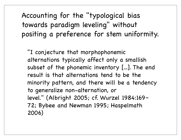Accounting for the "typological bias towards paradigm leveling" without positing a preference for stem uniformity.

"I conjecture that morphophonemic alternations typically affect only a smallish subset of the phonemic inventory [...]. The end result is that alternations tend to be the minority pattern, and there will be a tendency to generalize non-alternation, or level." (Albright 2005; cf. Wurzel 1984:169– 72; Bybee and Newman 1995; Haspelmath 2006)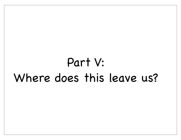#### Part V: Where does this leave us?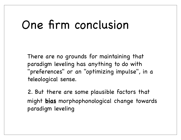#### One firm conclusion

There are no grounds for maintaining that paradigm leveling has anything to do with "preferences" or an "optimizing impulse", in a teleological sense.

2. But there are some plausible factors that might **bias** morphophonological change towards paradigm leveling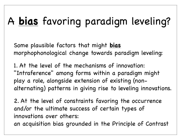#### A **bias** favoring paradigm leveling?

Some plausible factors that might **bias** morphophonological change towards paradigm leveling:

1. At the level of the mechanisms of innovation: "Intraference" among forms within a paradigm might play a role, alongside extension of existing (nonalternating) patterns in giving rise to leveling innovations.

2. At the level of constraints favoring the occurrence and/or the ultimate success of certain types of innovations over others:

an acquisition bias grounded in the Principle of Contrast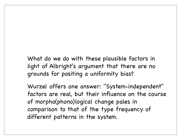What do we do with these plausible factors in light of Albright's argument that there are no grounds for positing a uniformity bias?

Wurzel offers one answer: "System-independent" factors are real, but their influence on the course of morpho(phono)logical change pales in comparison to that of the type frequency of different patterns in the system.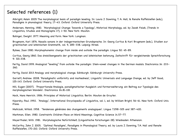## Selected references (1)

Albright, Adam 2005 The morphological basis of paradigm leveling. In: Laura J. Downing, T. A. Hall, & Renate Raffelsiefen (eds,), Paradigms in phonological theory, 17–43. Oxford: Oxford University Press.

Andersen, Henning. 1980. 'Morphological Change: Towards a Typology', Historical Morphology, ed. by Jacek Fisiak, (Trends in Linguistics, Studies and Monographs 17), 1–50. New York: Mouton.

Bolinger, Dwight. 1977. Meaning and Form. New York: Longman.

Brugmann, Karl 1876. Nasalis sonans in der indogermanischen Grundsprache. In: Georg Curtius & Karl Brugmann (eds.), Studien zur griechischen und lateinischen Grammatik, vol. 9, 285–338. Leipzig: Hirzel.

Bybee, Joan 1980. Morphophonemic change from inside and outside the paradigm. Lingua 50: 45–89.

Curtius, Georg 1860. Das dreisilbengesetz der griechischen und lateinischen betonung. Zeitschrift für vergleichende Sprachforschung 9: 321-338.

Fertig, David 1999. Analogical "leveling" from outside the paradigm: Stem-vowel changes in the German modals. Diachronica 16: 233– 260.

Fertig, David 2013 Analogy and morphological change. Edinburgh: Edinburgh University Press.

Garrett, Andrew. 2008. 'Paradigmatic uniformity and markedness', Linguistic Universals and Language Change, ed. by Jeff Good, 125-143. Oxford: Oxford University Press.

Hill, Eugen (2007). 'Proportionale Analogie, paradigmatischer Ausgleich und Formerweiterung: ein Beitrag zur Typologie des morphologischen Wandels'. Diachronica 24.81-118.

Hock, Hans Henrich. 1986. Principles of Historical Linguistics. Berlin: Mouton de Gruyter.

Kiparsky, Paul. 1992. 'Analogy', International Encyclopedia of Linguistics, vol. 1, ed. by William Bright, 56–61. New York: Oxford Univ. Press.

Mańczak, Witold. 1958. 'Tendences générales des changements analogiques'. Lingua 7.298–325 and 387–420.

Markman, Ellen. 1980. Constraints Children Place on Word Meanings. Cognitive Science 14.57–77.

Mayerthaler, Willi. 1981. Morphologische Natürlichkeit, (Linguistische Forschungen 28). Wiesbaden: Athenaion.

McCarthy, John J. 2005. 'Optimal Paradigms', Paradigms in Phonological Theory, ed. by Laura J. Downing, T.A. Hall and Renate Raffelsiefen, 170-210. Oxford: Oxford University Press.